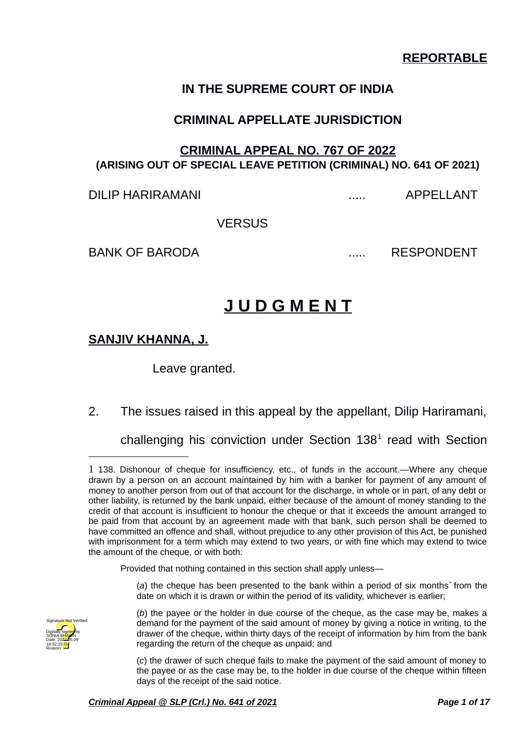## **REPORTABLE**

## **IN THE SUPREME COURT OF INDIA**

### **CRIMINAL APPELLATE JURISDICTION**

#### **CRIMINAL APPEAL NO. 767 OF 2022 (ARISING OUT OF SPECIAL LEAVE PETITION (CRIMINAL) NO. 641 OF 2021)**

DILIP HARIRAMANI ..... APPELLANT

**VERSUS** 

BANK OF BARODA ..... RESPONDENT

# **J U D G M E N T**

## **SANJIV KHANNA, J.**

Leave granted.

2. The issues raised in this appeal by the appellant, Dilip Hariramani,

challenging his conviction under Section  $138<sup>1</sup>$  $138<sup>1</sup>$  read with Section

Provided that nothing contained in this section shall apply unless—

(*a*) the cheque has been presented to the bank within a period of six months[\\*](https://www.scconline.com/Members/BrowseResult.aspx) from the date on which it is drawn or within the period of its validity, whichever is earlier;

(*b*) the payee or the holder in due course of the cheque, as the case may be, makes a demand for the payment of the said amount of money by giving a notice in writing, to the drawer of the cheque, within thirty days of the receipt of information by him from the bank regarding the return of the cheque as unpaid; and

(*c*) the drawer of such cheque fails to make the payment of the said amount of money to the payee or as the case may be, to the holder in due course of the cheque within fifteen days of the receipt of the said notice.

Digitally signed by SONIA B<mark>HAS</mark>IN

Signature Not Verified

<span id="page-0-0"></span><sup>1</sup> [138. Dishonour of cheque for insufficiency, etc., of funds in the account.](https://www.scconline.com/Members/BrowseResult.aspx#BS177)—Where any cheque drawn by a person on an account maintained by him with a banker for payment of any amount of money to another person from out of that account for the discharge, in whole or in part, of any debt or other liability, is returned by the bank unpaid, either because of the amount of money standing to the credit of that account is insufficient to honour the cheque or that it exceeds the amount arranged to be paid from that account by an agreement made with that bank, such person shall be deemed to have committed an offence and shall, without prejudice to any other provision of this Act, be punished with imprisonment for a term which may extend to two years, or with fine which may extend to twice the amount of the cheque, or with both: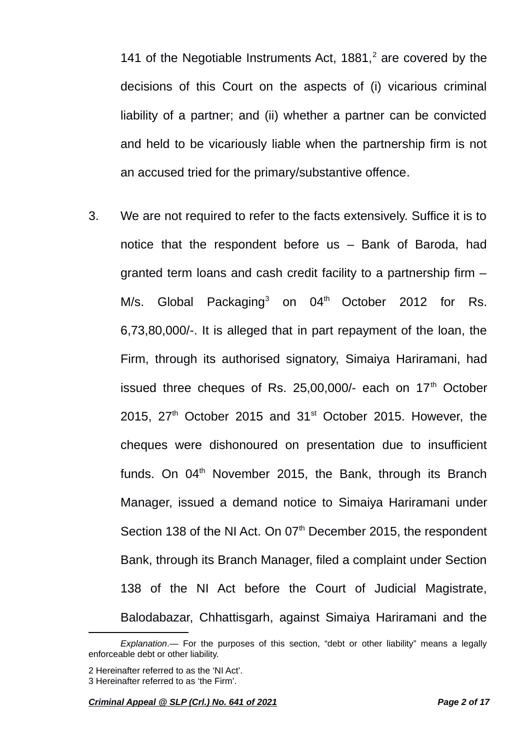141 of the Negotiable Instruments Act,  $1881<sup>2</sup>$  $1881<sup>2</sup>$  $1881<sup>2</sup>$  are covered by the decisions of this Court on the aspects of (i) vicarious criminal liability of a partner; and (ii) whether a partner can be convicted and held to be vicariously liable when the partnership firm is not an accused tried for the primary/substantive offence.

3. We are not required to refer to the facts extensively. Suffice it is to notice that the respondent before us – Bank of Baroda, had granted term loans and cash credit facility to a partnership firm – M/s. Global Packaging<sup>[3](#page-1-1)</sup> on  $04<sup>th</sup>$  October 2012 for Rs. 6,73,80,000/-. It is alleged that in part repayment of the loan, the Firm, through its authorised signatory, Simaiya Hariramani, had issued three cheques of Rs.  $25,00,000/4$  each on  $17<sup>th</sup>$  October 2015,  $27<sup>th</sup>$  October 2015 and  $31<sup>st</sup>$  October 2015. However, the cheques were dishonoured on presentation due to insufficient funds. On  $04<sup>th</sup>$  November 2015, the Bank, through its Branch Manager, issued a demand notice to Simaiya Hariramani under Section 138 of the NI Act. On 07<sup>th</sup> December 2015, the respondent Bank, through its Branch Manager, filed a complaint under Section 138 of the NI Act before the Court of Judicial Magistrate, Balodabazar, Chhattisgarh, against Simaiya Hariramani and the

*Explanation*.— For the purposes of this section, "debt or other liability" means a legally enforceable debt or other liability.

<span id="page-1-0"></span><sup>2</sup> Hereinafter referred to as the 'NI Act'.

<span id="page-1-1"></span><sup>3</sup> Hereinafter referred to as 'the Firm'.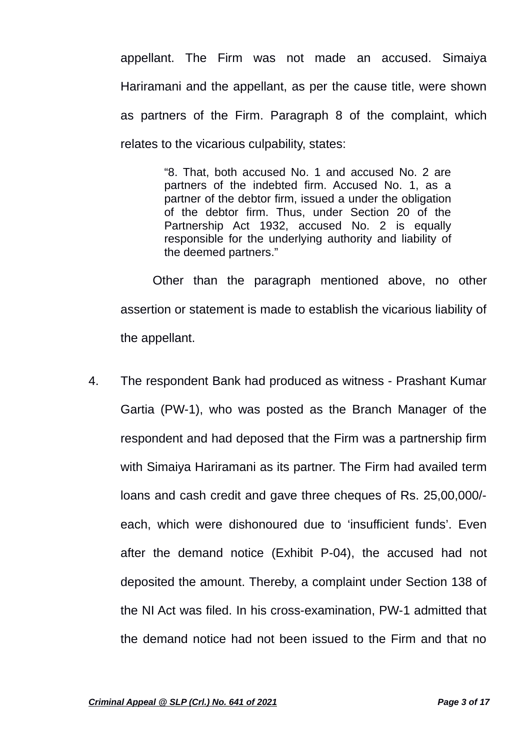appellant. The Firm was not made an accused. Simaiya Hariramani and the appellant, as per the cause title, were shown as partners of the Firm. Paragraph 8 of the complaint, which relates to the vicarious culpability, states:

> "8. That, both accused No. 1 and accused No. 2 are partners of the indebted firm. Accused No. 1, as a partner of the debtor firm, issued a under the obligation of the debtor firm. Thus, under Section 20 of the Partnership Act 1932, accused No. 2 is equally responsible for the underlying authority and liability of the deemed partners."

Other than the paragraph mentioned above, no other assertion or statement is made to establish the vicarious liability of the appellant.

4. The respondent Bank had produced as witness - Prashant Kumar Gartia (PW-1), who was posted as the Branch Manager of the respondent and had deposed that the Firm was a partnership firm with Simaiya Hariramani as its partner. The Firm had availed term loans and cash credit and gave three cheques of Rs. 25,00,000/ each, which were dishonoured due to 'insufficient funds'. Even after the demand notice (Exhibit P-04), the accused had not deposited the amount. Thereby, a complaint under Section 138 of the NI Act was filed. In his cross-examination, PW-1 admitted that the demand notice had not been issued to the Firm and that no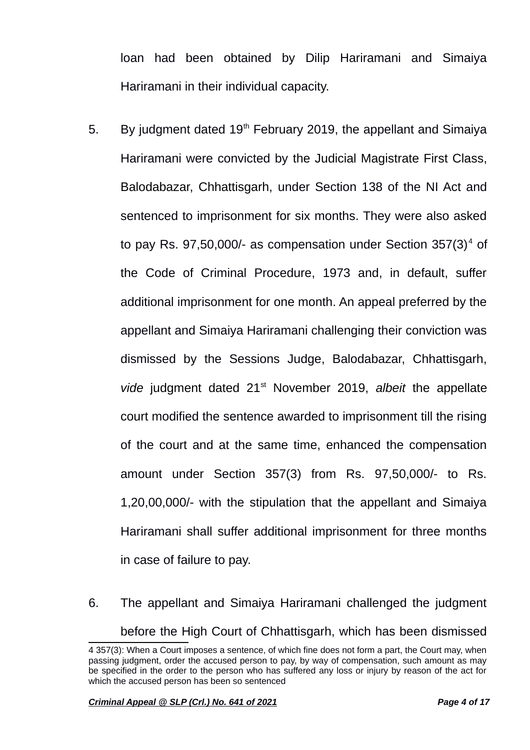loan had been obtained by Dilip Hariramani and Simaiya Hariramani in their individual capacity.

- 5. By judgment dated  $19<sup>th</sup>$  February 2019, the appellant and Simaiya Hariramani were convicted by the Judicial Magistrate First Class, Balodabazar, Chhattisgarh, under Section 138 of the NI Act and sentenced to imprisonment for six months. They were also asked to pay Rs. 97,50,000/- as compensation under Section 357(3) $^4$  $^4$  of the Code of Criminal Procedure, 1973 and, in default, suffer additional imprisonment for one month. An appeal preferred by the appellant and Simaiya Hariramani challenging their conviction was dismissed by the Sessions Judge, Balodabazar, Chhattisgarh, *vide* judgment dated 21st November 2019, *albeit* the appellate court modified the sentence awarded to imprisonment till the rising of the court and at the same time, enhanced the compensation amount under Section 357(3) from Rs. 97,50,000/- to Rs. 1,20,00,000/- with the stipulation that the appellant and Simaiya Hariramani shall suffer additional imprisonment for three months in case of failure to pay.
- 6. The appellant and Simaiya Hariramani challenged the judgment before the High Court of Chhattisgarh, which has been dismissed

<span id="page-3-0"></span><sup>4 357(3):</sup> When a Court imposes a sentence, of which fine does not form a part, the Court may, when passing judgment, order the accused person to pay, by way of compensation, such amount as may be specified in the order to the person who has suffered any loss or injury by reason of the act for which the accused person has been so sentenced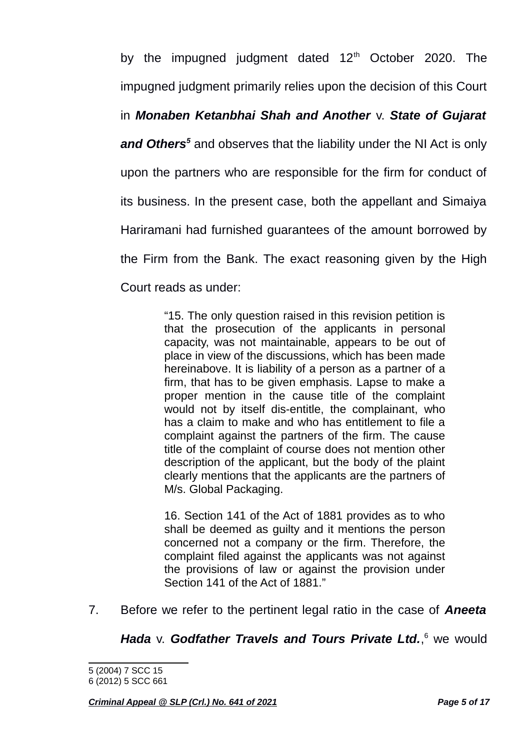by the impugned judgment dated  $12<sup>th</sup>$  October 2020. The

impugned judgment primarily relies upon the decision of this Court

in *Monaben Ketanbhai Shah and Another* v. *State of Gujarat*

*and Others[5](#page-4-0)* and observes that the liability under the NI Act is only upon the partners who are responsible for the firm for conduct of its business. In the present case, both the appellant and Simaiya Hariramani had furnished guarantees of the amount borrowed by the Firm from the Bank. The exact reasoning given by the High Court reads as under:

> "15. The only question raised in this revision petition is that the prosecution of the applicants in personal capacity, was not maintainable, appears to be out of place in view of the discussions, which has been made hereinabove. It is liability of a person as a partner of a firm, that has to be given emphasis. Lapse to make a proper mention in the cause title of the complaint would not by itself dis-entitle, the complainant, who has a claim to make and who has entitlement to file a complaint against the partners of the firm. The cause title of the complaint of course does not mention other description of the applicant, but the body of the plaint clearly mentions that the applicants are the partners of M/s. Global Packaging.

> 16. Section 141 of the Act of 1881 provides as to who shall be deemed as guilty and it mentions the person concerned not a company or the firm. Therefore, the complaint filed against the applicants was not against the provisions of law or against the provision under Section 141 of the Act of 1881."

7. Before we refer to the pertinent legal ratio in the case of *Aneeta*

**Hada** v. Godfather Travels and Tours Private Ltd.,<sup>[6](#page-4-1)</sup> we would

<span id="page-4-0"></span><sup>5 (2004) 7</sup> SCC 15

<span id="page-4-1"></span><sup>6 (2012) 5</sup> SCC 661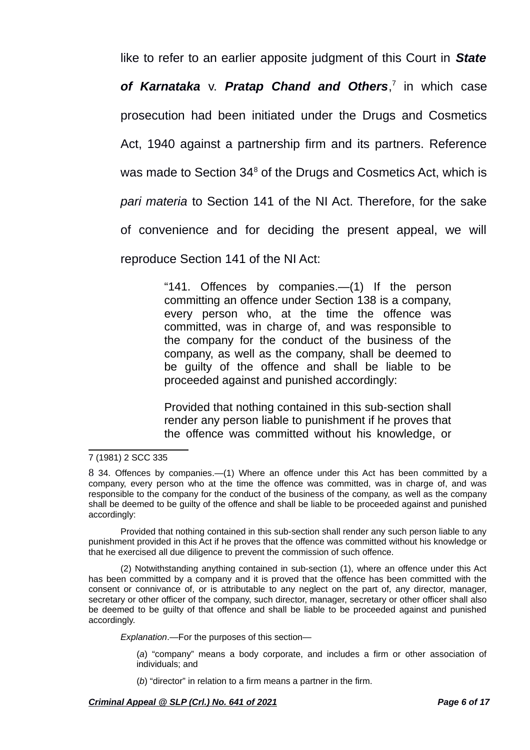like to refer to an earlier apposite judgment of this Court in *State of Karnataka* v. *Pratap Chand and Others*, [7](#page-5-0) in which case prosecution had been initiated under the Drugs and Cosmetics Act, 1940 against a partnership firm and its partners. Reference was made to Section 34 $^{\rm 8}$  $^{\rm 8}$  $^{\rm 8}$  of the Drugs and Cosmetics Act, which is *pari materia* to Section 141 of the NI Act. Therefore, for the sake of convenience and for deciding the present appeal, we will reproduce Section 141 of the NI Act:

> ["141. Offences by companies.](https://www.scconline.com/Members/BrowseResult.aspx#BS180)—(1) If the person committing an offence under Section 138 is a company, every person who, at the time the offence was committed, was in charge of, and was responsible to the company for the conduct of the business of the company, as well as the company, shall be deemed to be guilty of the offence and shall be liable to be proceeded against and punished accordingly:

> Provided that nothing contained in this sub-section shall render any person liable to punishment if he proves that the offence was committed without his knowledge, or

Provided that nothing contained in this sub-section shall render any such person liable to any punishment provided in this Act if he proves that the offence was committed without his knowledge or that he exercised all due diligence to prevent the commission of such offence.

(2) Notwithstanding anything contained in sub-section (1), where an offence under this Act has been committed by a company and it is proved that the offence has been committed with the consent or connivance of, or is attributable to any neglect on the part of, any director, manager, secretary or other officer of the company, such director, manager, secretary or other officer shall also be deemed to be guilty of that offence and shall be liable to be proceeded against and punished accordingly.

*Explanation*.—For the purposes of this section—

(*a*) "company" means a body corporate, and includes a firm or other association of individuals; and

<span id="page-5-0"></span><sup>7 (1981) 2</sup> SCC 335

<span id="page-5-1"></span><sup>8</sup> [34. Offences by companies.](https://www.scconline.com/Members/BrowseResult.aspx#BS034)—(1) Where an offence under this Act has been committed by a company, every person who at the time the offence was committed, was in charge of, and was responsible to the company for the conduct of the business of the company, as well as the company shall be deemed to be guilty of the offence and shall be liable to be proceeded against and punished accordingly:

<sup>(</sup>*b*) "director" in relation to a firm means a partner in the firm.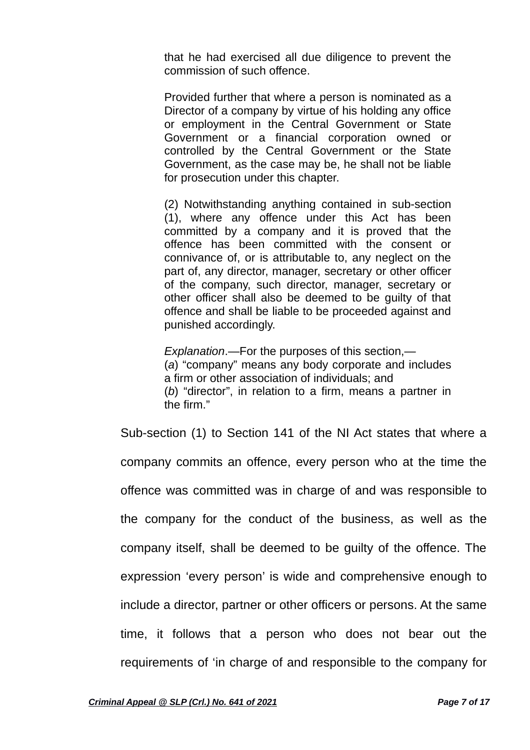that he had exercised all due diligence to prevent the commission of such offence.

Provided further that where a person is nominated as a Director of a company by virtue of his holding any office or employment in the Central Government or State Government or a financial corporation owned or controlled by the Central Government or the State Government, as the case may be, he shall not be liable for prosecution under this chapter.

(2) Notwithstanding anything contained in sub-section (1), where any offence under this Act has been committed by a company and it is proved that the offence has been committed with the consent or connivance of, or is attributable to, any neglect on the part of, any director, manager, secretary or other officer of the company, such director, manager, secretary or other officer shall also be deemed to be guilty of that offence and shall be liable to be proceeded against and punished accordingly.

*Explanation*.—For the purposes of this section,— (*a*) "company" means any body corporate and includes a firm or other association of individuals; and (*b*) "director", in relation to a firm, means a partner in the firm."

Sub-section (1) to Section 141 of the NI Act states that where a company commits an offence, every person who at the time the offence was committed was in charge of and was responsible to the company for the conduct of the business, as well as the company itself, shall be deemed to be guilty of the offence. The expression 'every person' is wide and comprehensive enough to include a director, partner or other officers or persons. At the same time, it follows that a person who does not bear out the requirements of 'in charge of and responsible to the company for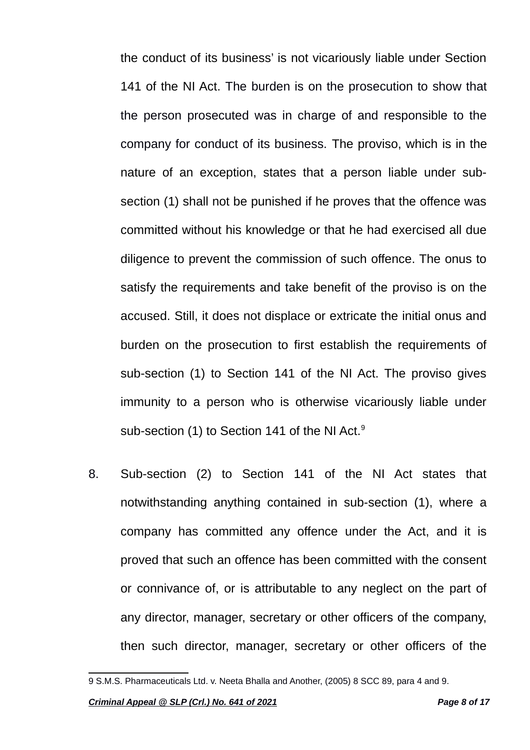the conduct of its business' is not vicariously liable under Section 141 of the NI Act. The burden is on the prosecution to show that the person prosecuted was in charge of and responsible to the company for conduct of its business. The proviso, which is in the nature of an exception, states that a person liable under subsection (1) shall not be punished if he proves that the offence was committed without his knowledge or that he had exercised all due diligence to prevent the commission of such offence. The onus to satisfy the requirements and take benefit of the proviso is on the accused. Still, it does not displace or extricate the initial onus and burden on the prosecution to first establish the requirements of sub-section (1) to Section 141 of the NI Act. The proviso gives immunity to a person who is otherwise vicariously liable under sub-section (1) to Section 141 of the NI Act.<sup>[9](#page-7-0)</sup>

8. Sub-section (2) to Section 141 of the NI Act states that notwithstanding anything contained in sub-section (1), where a company has committed any offence under the Act, and it is proved that such an offence has been committed with the consent or connivance of, or is attributable to any neglect on the part of any director, manager, secretary or other officers of the company, then such director, manager, secretary or other officers of the

<span id="page-7-0"></span><sup>9</sup> S.M.S. Pharmaceuticals Ltd. v. Neeta Bhalla and Another, (2005) 8 SCC 89, para 4 and 9.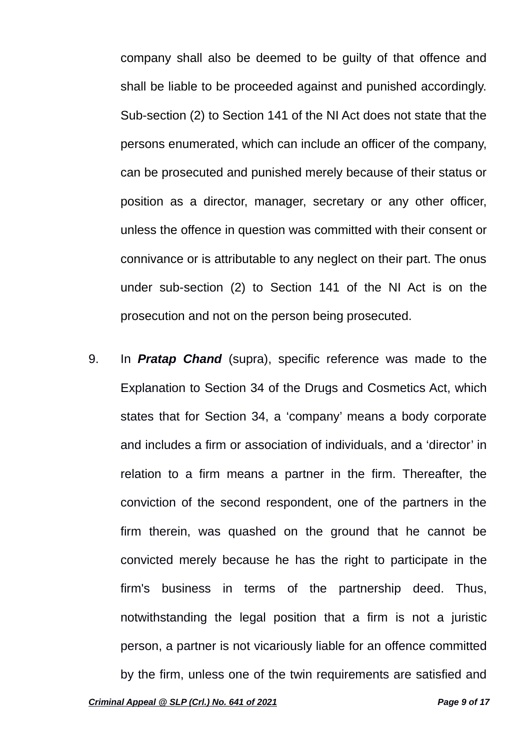company shall also be deemed to be guilty of that offence and shall be liable to be proceeded against and punished accordingly. Sub-section (2) to Section 141 of the NI Act does not state that the persons enumerated, which can include an officer of the company, can be prosecuted and punished merely because of their status or position as a director, manager, secretary or any other officer, unless the offence in question was committed with their consent or connivance or is attributable to any neglect on their part. The onus under sub-section (2) to Section 141 of the NI Act is on the prosecution and not on the person being prosecuted.

9. In *Pratap Chand* (supra), specific reference was made to the Explanation to Section 34 of the Drugs and Cosmetics Act, which states that for Section 34, a 'company' means a body corporate and includes a firm or association of individuals, and a 'director' in relation to a firm means a partner in the firm. Thereafter, the conviction of the second respondent, one of the partners in the firm therein, was quashed on the ground that he cannot be convicted merely because he has the right to participate in the firm's business in terms of the partnership deed. Thus, notwithstanding the legal position that a firm is not a juristic person, a partner is not vicariously liable for an offence committed by the firm, unless one of the twin requirements are satisfied and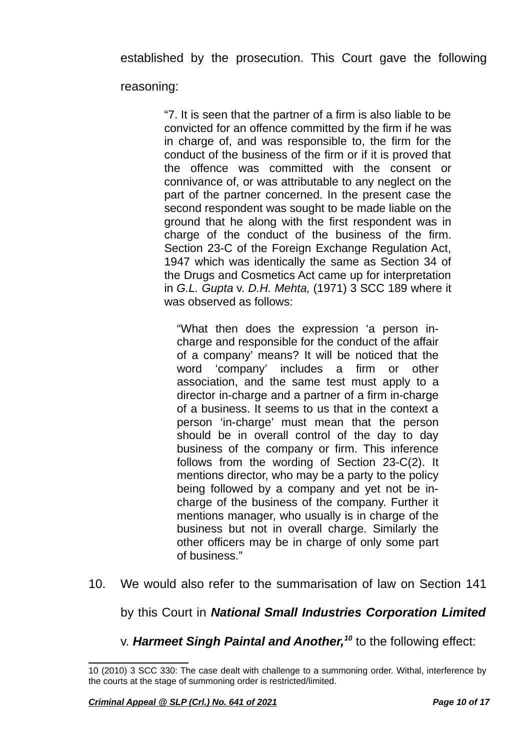established by the prosecution. This Court gave the following

#### reasoning:

"7. It is seen that the partner of a firm is also liable to be convicted for an offence committed by the firm if he was in charge of, and was responsible to, the firm for the conduct of the business of the firm or if it is proved that the offence was committed with the consent or connivance of, or was attributable to any neglect on the part of the partner concerned. In the present case the second respondent was sought to be made liable on the ground that he along with the first respondent was in charge of the conduct of the business of the firm. Section 23-C of the Foreign Exchange Regulation Act, 1947 which was identically the same as Section 34 of the Drugs and Cosmetics Act came up for interpretation in *G.L. Gupta* v. *D.H. Mehta,* (1971) 3 SCC 189 where it was observed as follows:

"What then does the expression 'a person incharge and responsible for the conduct of the affair of a company' means? It will be noticed that the word 'company' includes a firm or other association, and the same test must apply to a director in-charge and a partner of a firm in-charge of a business. It seems to us that in the context a person 'in-charge' must mean that the person should be in overall control of the day to day business of the company or firm. This inference follows from the wording of Section 23-C(2). It mentions director, who may be a party to the policy being followed by a company and yet not be incharge of the business of the company. Further it mentions manager, who usually is in charge of the business but not in overall charge. Similarly the other officers may be in charge of only some part of business."

10. We would also refer to the summarisation of law on Section 141

by this Court in *National Small Industries Corporation Limited*

v. *Harmeet Singh Paintal and Another,[10](#page-9-0)* to the following effect:

<span id="page-9-0"></span><sup>10 (2010) 3</sup> SCC 330: The case dealt with challenge to a summoning order. Withal, interference by the courts at the stage of summoning order is restricted/limited.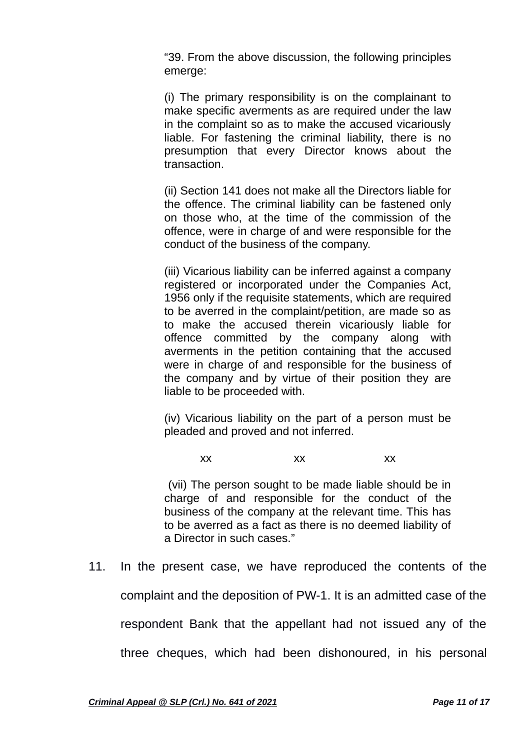"39. From the above discussion, the following principles emerge:

(i) The primary responsibility is on the complainant to make specific averments as are required under the law in the complaint so as to make the accused vicariously liable. For fastening the criminal liability, there is no presumption that every Director knows about the transaction.

(ii) Section 141 does not make all the Directors liable for the offence. The criminal liability can be fastened only on those who, at the time of the commission of the offence, were in charge of and were responsible for the conduct of the business of the company.

(iii) Vicarious liability can be inferred against a company registered or incorporated under the Companies Act, 1956 only if the requisite statements, which are required to be averred in the complaint/petition, are made so as to make the accused therein vicariously liable for offence committed by the company along with averments in the petition containing that the accused were in charge of and responsible for the business of the company and by virtue of their position they are liable to be proceeded with.

(iv) Vicarious liability on the part of a person must be pleaded and proved and not inferred.

xx xx xx

 (vii) The person sought to be made liable should be in charge of and responsible for the conduct of the business of the company at the relevant time. This has to be averred as a fact as there is no deemed liability of a Director in such cases."

11. In the present case, we have reproduced the contents of the complaint and the deposition of PW-1. It is an admitted case of the respondent Bank that the appellant had not issued any of the three cheques, which had been dishonoured, in his personal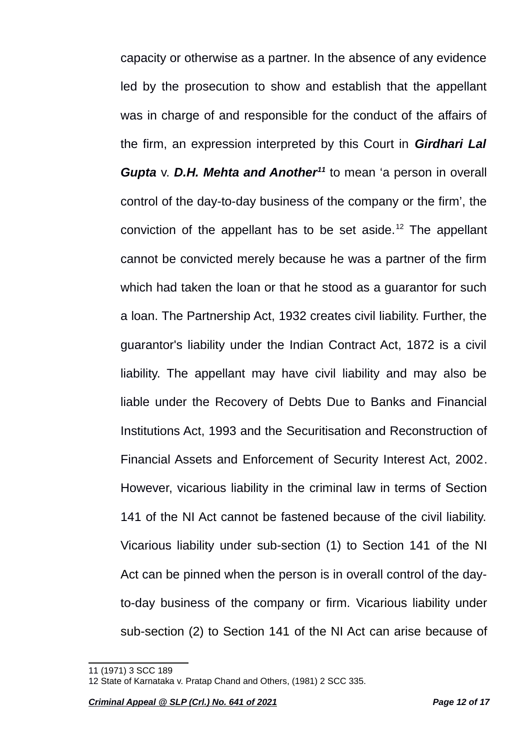capacity or otherwise as a partner. In the absence of any evidence led by the prosecution to show and establish that the appellant was in charge of and responsible for the conduct of the affairs of the firm, an expression interpreted by this Court in *Girdhari Lal Gupta* v. *D.H. Mehta and Another[11](#page-11-0)* to mean 'a person in overall control of the day-to-day business of the company or the firm', the conviction of the appellant has to be set aside.<sup>[12](#page-11-1)</sup> The appellant cannot be convicted merely because he was a partner of the firm which had taken the loan or that he stood as a guarantor for such a loan. The Partnership Act, 1932 creates civil liability. Further, the guarantor's liability under the Indian Contract Act, 1872 is a civil liability. The appellant may have civil liability and may also be liable under the Recovery of Debts Due to Banks and Financial Institutions Act, 1993 and the Securitisation and Reconstruction of Financial Assets and Enforcement of Security Interest Act, 2002. However, vicarious liability in the criminal law in terms of Section 141 of the NI Act cannot be fastened because of the civil liability. Vicarious liability under sub-section (1) to Section 141 of the NI Act can be pinned when the person is in overall control of the dayto-day business of the company or firm. Vicarious liability under sub-section (2) to Section 141 of the NI Act can arise because of

<span id="page-11-0"></span><sup>11 (1971) 3</sup> SCC 189

<span id="page-11-1"></span><sup>12</sup> State of Karnataka v. Pratap Chand and Others, (1981) 2 SCC 335.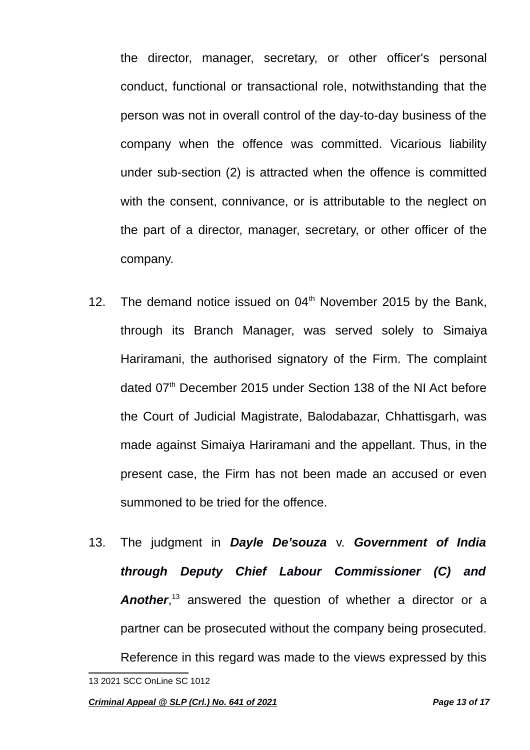the director, manager, secretary, or other officer's personal conduct, functional or transactional role, notwithstanding that the person was not in overall control of the day-to-day business of the company when the offence was committed. Vicarious liability under sub-section (2) is attracted when the offence is committed with the consent, connivance, or is attributable to the neglect on the part of a director, manager, secretary, or other officer of the company.

- 12. The demand notice issued on  $04<sup>th</sup>$  November 2015 by the Bank, through its Branch Manager, was served solely to Simaiya Hariramani, the authorised signatory of the Firm. The complaint dated 07<sup>th</sup> December 2015 under Section 138 of the NI Act before the Court of Judicial Magistrate, Balodabazar, Chhattisgarh, was made against Simaiya Hariramani and the appellant. Thus, in the present case, the Firm has not been made an accused or even summoned to be tried for the offence.
- 13. The judgment in *Dayle De'souza* v. *Government of India through Deputy Chief Labour Commissioner (C) and Another*, [13](#page-12-0) answered the question of whether a director or a partner can be prosecuted without the company being prosecuted. Reference in this regard was made to the views expressed by this

<span id="page-12-0"></span><sup>13 2021</sup> SCC OnLine SC 1012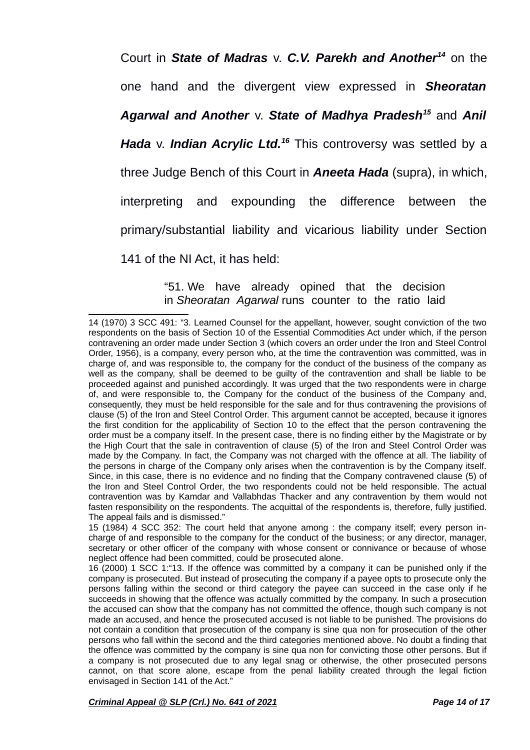Court in *State of Madras* v. *C.V. Parekh and Another[14](#page-13-0)* on the one hand and the divergent view expressed in *Sheoratan Agarwal and Another* v. *State of Madhya Pradesh[15](#page-13-1)* and *Anil Hada* v. *Indian Acrylic Ltd.[16](#page-13-2)* This controversy was settled by a three Judge Bench of this Court in *Aneeta Hada* (supra), in which, interpreting and expounding the difference between the primary/substantial liability and vicarious liability under Section 141 of the NI Act, it has held:

> "51. We have already opined that the decision in *Sheoratan Agarwal* runs counter to the ratio laid

<span id="page-13-0"></span><sup>14 (1970) 3</sup> SCC 491: "3. Learned Counsel for the appellant, however, sought conviction of the two respondents on the basis of Section 10 of the Essential Commodities Act under which, if the person contravening an order made under Section 3 (which covers an order under the Iron and Steel Control Order, 1956), is a company, every person who, at the time the contravention was committed, was in charge of, and was responsible to, the company for the conduct of the business of the company as well as the company, shall be deemed to be guilty of the contravention and shall be liable to be proceeded against and punished accordingly. It was urged that the two respondents were in charge of, and were responsible to, the Company for the conduct of the business of the Company and, consequently, they must be held responsible for the sale and for thus contravening the provisions of clause (5) of the Iron and Steel Control Order. This argument cannot be accepted, because it ignores the first condition for the applicability of Section 10 to the effect that the person contravening the order must be a company itself. In the present case, there is no finding either by the Magistrate or by the High Court that the sale in contravention of clause (5) of the Iron and Steel Control Order was made by the Company. In fact, the Company was not charged with the offence at all. The liability of the persons in charge of the Company only arises when the contravention is by the Company itself. Since, in this case, there is no evidence and no finding that the Company contravened clause (5) of the Iron and Steel Control Order, the two respondents could not be held responsible. The actual contravention was by Kamdar and Vallabhdas Thacker and any contravention by them would not fasten responsibility on the respondents. The acquittal of the respondents is, therefore, fully justified. The appeal fails and is dismissed."

<span id="page-13-1"></span><sup>15 (1984) 4</sup> SCC 352: The court held that anyone among : the company itself; every person incharge of and responsible to the company for the conduct of the business; or any director, manager, secretary or other officer of the company with whose consent or connivance or because of whose neglect offence had been committed, could be prosecuted alone.

<span id="page-13-2"></span><sup>16 (2000) 1</sup> SCC 1:"13. If the offence was committed by a company it can be punished only if the company is prosecuted. But instead of prosecuting the company if a payee opts to prosecute only the persons falling within the second or third category the payee can succeed in the case only if he succeeds in showing that the offence was actually committed by the company. In such a prosecution the accused can show that the company has not committed the offence, though such company is not made an accused, and hence the prosecuted accused is not liable to be punished. The provisions do not contain a condition that prosecution of the company is sine qua non for prosecution of the other persons who fall within the second and the third categories mentioned above. No doubt a finding that the offence was committed by the company is sine qua non for convicting those other persons. But if a company is not prosecuted due to any legal snag or otherwise, the other prosecuted persons cannot, on that score alone, escape from the penal liability created through the legal fiction envisaged in Section 141 of the Act."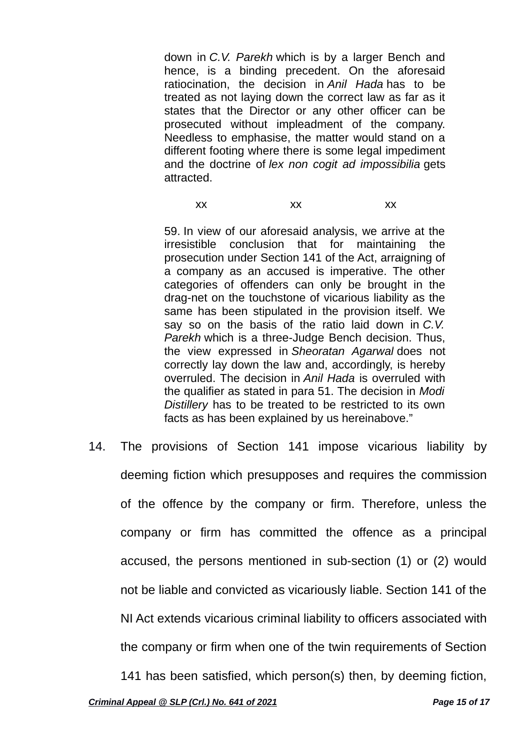down in *C.V. Parekh* which is by a larger Bench and hence, is a binding precedent. On the aforesaid ratiocination, the decision in *Anil Hada* has to be treated as not laying down the correct law as far as it states that the Director or any other officer can be prosecuted without impleadment of the company. Needless to emphasise, the matter would stand on a different footing where there is some legal impediment and the doctrine of *lex non cogit ad impossibilia* gets attracted.

xx xx xx

59. In view of our aforesaid analysis, we arrive at the irresistible conclusion that for maintaining the prosecution under Section 141 of the Act, arraigning of a company as an accused is imperative. The other categories of offenders can only be brought in the drag-net on the touchstone of vicarious liability as the same has been stipulated in the provision itself. We say so on the basis of the ratio laid down in *C.V. Parekh* which is a three-Judge Bench decision. Thus, the view expressed in *Sheoratan Agarwal* does not correctly lay down the law and, accordingly, is hereby overruled. The decision in *Anil Hada* is overruled with the qualifier as stated in para 51. The decision in *Modi Distillery* has to be treated to be restricted to its own facts as has been explained by us hereinabove."

14. The provisions of Section 141 impose vicarious liability by deeming fiction which presupposes and requires the commission of the offence by the company or firm. Therefore, unless the company or firm has committed the offence as a principal accused, the persons mentioned in sub-section (1) or (2) would not be liable and convicted as vicariously liable. Section 141 of the NI Act extends vicarious criminal liability to officers associated with the company or firm when one of the twin requirements of Section

141 has been satisfied, which person(s) then, by deeming fiction,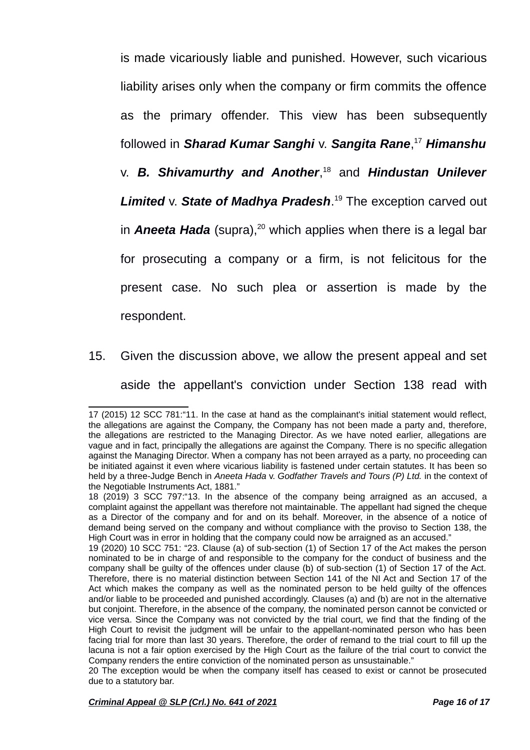is made vicariously liable and punished. However, such vicarious liability arises only when the company or firm commits the offence as the primary offender. This view has been subsequently followed in *Sharad Kumar Sanghi* v. *Sangita Rane*, [17](#page-15-0) *Himanshu* v. *B. Shivamurthy and Another*, [18](#page-15-1) and *Hindustan Unilever Limited* v. *State of Madhya Pradesh*. [19](#page-15-2) The exception carved out in **Aneeta Hada** (supra),<sup>[20](#page-15-3)</sup> which applies when there is a legal bar for prosecuting a company or a firm, is not felicitous for the present case. No such plea or assertion is made by the respondent.

15. Given the discussion above, we allow the present appeal and set aside the appellant's conviction under Section 138 read with

<span id="page-15-0"></span><sup>17 (2015) 12</sup> SCC 781:"11. In the case at hand as the complainant's initial statement would reflect, the allegations are against the Company, the Company has not been made a party and, therefore, the allegations are restricted to the Managing Director. As we have noted earlier, allegations are vague and in fact, principally the allegations are against the Company. There is no specific allegation against the Managing Director. When a company has not been arrayed as a party, no proceeding can be initiated against it even where vicarious liability is fastened under certain statutes. It has been so held by a three-Judge Bench in *Aneeta Hada* v. *Godfather Travels and Tours (P) Ltd.* in the context of the Negotiable Instruments Act, 1881."

<span id="page-15-1"></span><sup>18 (2019) 3</sup> SCC 797:"13. In the absence of the company being arraigned as an accused, a complaint against the appellant was therefore not maintainable. The appellant had signed the cheque as a Director of the company and for and on its behalf. Moreover, in the absence of a notice of demand being served on the company and without compliance with the proviso to Section 138, the High Court was in error in holding that the company could now be arraigned as an accused."

<span id="page-15-2"></span><sup>19 (2020) 10</sup> SCC 751: "23. Clause (a) of sub-section (1) of Section 17 of the Act makes the person nominated to be in charge of and responsible to the company for the conduct of business and the company shall be guilty of the offences under clause (b) of sub-section (1) of Section 17 of the Act. Therefore, there is no material distinction between Section 141 of the NI Act and Section 17 of the Act which makes the company as well as the nominated person to be held guilty of the offences and/or liable to be proceeded and punished accordingly. Clauses (a) and (b) are not in the alternative but conjoint. Therefore, in the absence of the company, the nominated person cannot be convicted or vice versa. Since the Company was not convicted by the trial court, we find that the finding of the High Court to revisit the judgment will be unfair to the appellant-nominated person who has been facing trial for more than last 30 years. Therefore, the order of remand to the trial court to fill up the lacuna is not a fair option exercised by the High Court as the failure of the trial court to convict the Company renders the entire conviction of the nominated person as unsustainable."

<span id="page-15-3"></span><sup>20</sup> The exception would be when the company itself has ceased to exist or cannot be prosecuted due to a statutory bar.